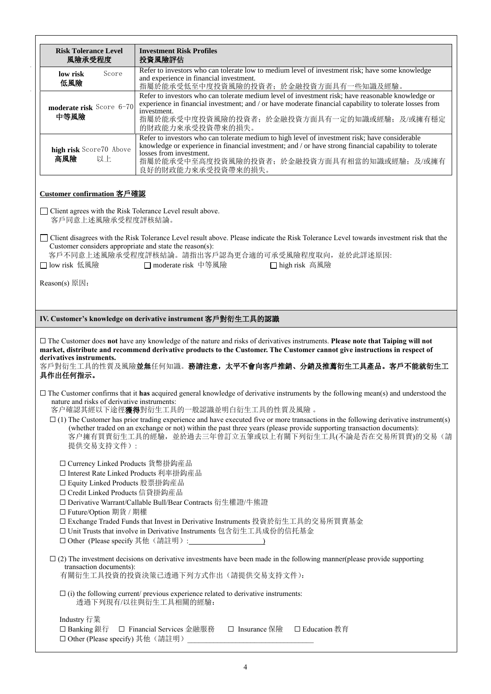| <b>Risk Tolerance Level</b><br>風險承受程度                                                                                                                                                                                                                                                                                                                                                                                                                                                                                                                                                   | <b>Investment Risk Profiles</b><br>投資風險評估                                                                                                                                                                                                                                                               |  |  |  |
|-----------------------------------------------------------------------------------------------------------------------------------------------------------------------------------------------------------------------------------------------------------------------------------------------------------------------------------------------------------------------------------------------------------------------------------------------------------------------------------------------------------------------------------------------------------------------------------------|---------------------------------------------------------------------------------------------------------------------------------------------------------------------------------------------------------------------------------------------------------------------------------------------------------|--|--|--|
| O-Score35<br>low risk<br>低風險<br>$0-35$                                                                                                                                                                                                                                                                                                                                                                                                                                                                                                                                                  | Refer to investors who can tolerate low to medium level of investment risk; have some knowledge<br>and experience in financial investment.<br>指屬於能承受低至中度投資風險的投資者;於金融投資方面具有一些知識及經驗。                                                                                                                      |  |  |  |
| moderate risk Score36-70<br>中等風險<br>$36 - 70$                                                                                                                                                                                                                                                                                                                                                                                                                                                                                                                                           | Refer to investors who can tolerate medium level of investment risk; have reasonable knowledge or<br>experience in financial investment; and / or have moderate financial capability to tolerate losses from<br>investment.<br>指屬於能承受中度投資風險的投資者;於金融投資方面具有一定的知識或經驗;及/或擁有穩定<br>的財政能力來承受投資帶來的損失。           |  |  |  |
| high risk Score70 Above<br>高風險 70 以上                                                                                                                                                                                                                                                                                                                                                                                                                                                                                                                                                    | Refer to investors who can tolerate medium to high level of investment risk; have considerable<br>knowledge or experience in financial investment; and / or have strong financial capability to tolerate<br>losses from investment.<br>指屬於能承受中至高度投資風險的投資者;於金融投資方面具有相當的知識或經驗;及/或擁有<br>良好的財政能力來承受投資帶來的損失。 |  |  |  |
| Customer confirmation 客戶確認                                                                                                                                                                                                                                                                                                                                                                                                                                                                                                                                                              |                                                                                                                                                                                                                                                                                                         |  |  |  |
| □ Client agrees with the Risk Tolerance Level result above.<br>客戶同意上述風險承受程度評核結論。                                                                                                                                                                                                                                                                                                                                                                                                                                                                                                        |                                                                                                                                                                                                                                                                                                         |  |  |  |
| □ Client disagrees with the Risk Tolerance Level result above. Please indicate the Risk Tolerance Level towards investment risk that the<br>Customer considers appropriate and state the reason(s):<br>客戶不同意上述風險承受程度評核結論。請指出客戶認為更合適的可承受風險程度取向,並於此詳述原因:<br>□ moderate risk 中等風險<br>□ low risk 低風險<br>□ high risk 高風險                                                                                                                                                                                                                                                                     |                                                                                                                                                                                                                                                                                                         |  |  |  |
| Reason(s) 原因:                                                                                                                                                                                                                                                                                                                                                                                                                                                                                                                                                                           |                                                                                                                                                                                                                                                                                                         |  |  |  |
|                                                                                                                                                                                                                                                                                                                                                                                                                                                                                                                                                                                         |                                                                                                                                                                                                                                                                                                         |  |  |  |
| IV. Customer's knowledge on derivative instrument 客戶對衍生工具的認識                                                                                                                                                                                                                                                                                                                                                                                                                                                                                                                            |                                                                                                                                                                                                                                                                                                         |  |  |  |
| $\Box$ The Customer does not have any knowledge of the nature and risks of derivatives instruments. Please note that Taiping will not<br>market, distribute and recommend derivative products to the Customer. The Customer cannot give instructions in respect of<br>derivatives instruments.<br>客戶對衍生工具的性質及風險並無任何知識。務請注意, 太平不會向客戶推銷、分銷及推薦衍生工具產品。客戶不能就衍生工<br>具作出任何指示。                                                                                                                                                                                                                  |                                                                                                                                                                                                                                                                                                         |  |  |  |
| $\Box$ The Customer confirms that it has acquired general knowledge of derivative instruments by the following mean(s) and understood the<br>nature and risks of derivative instruments:<br>客户確認其經以下途徑 <b>獲得</b> 對衍生工具的一般認識並明白衍生工具的性質及風險。<br>$\Box$ (1) The Customer has prior trading experience and have executed five or more transactions in the following derivative instrument(s)<br>(whether traded on an exchange or not) within the past three years (please provide supporting transaction documents):<br>客户擁有買賣衍生工具的經驗,並於過去三年曾訂立五筆或以上有關下列衍生工具(不論是否在交易所買賣)的交易(請<br>提供交易支持文件): |                                                                                                                                                                                                                                                                                                         |  |  |  |
| □ Currency Linked Products 貨幣掛鈎産品<br>□ Interest Rate Linked Products 利率掛鈎産品<br>□ Equity Linked Products 股票掛鈎産品<br>□ Credit Linked Products 信貸掛鈎産品<br>□ Derivative Warrant/Callable Bull/Bear Contracts 衍生權證/牛熊證<br>□ Future/Option 期貨 / 期權<br>□ Exchange Traded Funds that Invest in Derivative Instruments 投資於衍生工具的交易所買賣基金<br>□ Unit Trusts that involve in Derivative Instruments 包含衍生工具成份的信托基金                                                                                                                                                                                       |                                                                                                                                                                                                                                                                                                         |  |  |  |
| $\Box$ (2) The investment decisions on derivative investments have been made in the following manner(please provide supporting<br>transaction documents):<br>有關衍生工具投資的投資決策已透過下列方式作出(請提供交易支持文件):                                                                                                                                                                                                                                                                                                                                                                                         |                                                                                                                                                                                                                                                                                                         |  |  |  |
| $\Box$ (i) the following current/ previous experience related to derivative instruments:<br>透過下列現有/以往與衍生工具相關的經驗:                                                                                                                                                                                                                                                                                                                                                                                                                                                                        |                                                                                                                                                                                                                                                                                                         |  |  |  |
| Industry 行業<br>□ Banking 銀行<br>□ Other (Please specify) 其他 (請註明)                                                                                                                                                                                                                                                                                                                                                                                                                                                                                                                        | □ Financial Services 金融服務<br>□ Insurance 保險<br>□ Education 教育                                                                                                                                                                                                                                           |  |  |  |

l,